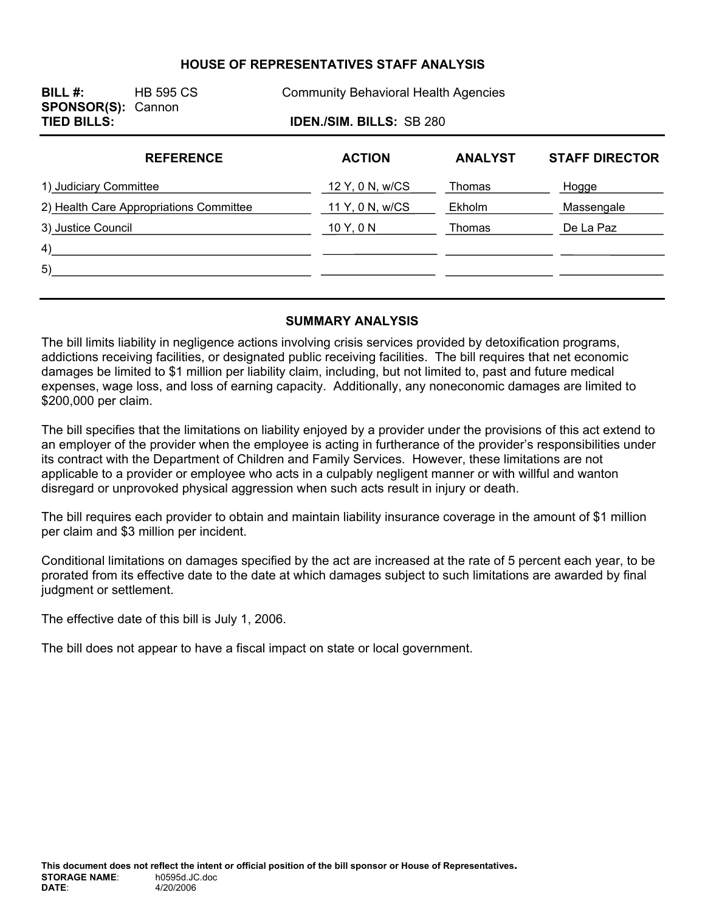# **HOUSE OF REPRESENTATIVES STAFF ANALYSIS**

| BILL $#$ :<br><b>SPONSOR(S): Cannon</b> | <b>HB 595 CS</b>                | <b>Community Behavioral Health Agencies</b> |                |                       |  |  |  |  |
|-----------------------------------------|---------------------------------|---------------------------------------------|----------------|-----------------------|--|--|--|--|
| <b>TIED BILLS:</b>                      | <b>IDEN./SIM. BILLS: SB 280</b> |                                             |                |                       |  |  |  |  |
|                                         | <b>REFERENCE</b>                | <b>ACTION</b>                               | <b>ANALYST</b> | <b>STAFF DIRECTOR</b> |  |  |  |  |
| 1) Judiciary Committee                  |                                 | 12 Y, 0 N, w/CS                             | Thomas         | Hogge                 |  |  |  |  |
| 2) Health Care Appropriations Committee |                                 | 11 Y, 0 N, w/CS                             | Ekholm         | Massengale            |  |  |  |  |
| 3) Justice Council                      |                                 | 10 Y, 0 N                                   | Thomas         | De La Paz             |  |  |  |  |
| 4)                                      |                                 |                                             |                |                       |  |  |  |  |
| 5)                                      |                                 |                                             |                |                       |  |  |  |  |
|                                         |                                 |                                             |                |                       |  |  |  |  |

#### **SUMMARY ANALYSIS**

The bill limits liability in negligence actions involving crisis services provided by detoxification programs, addictions receiving facilities, or designated public receiving facilities. The bill requires that net economic damages be limited to \$1 million per liability claim, including, but not limited to, past and future medical expenses, wage loss, and loss of earning capacity. Additionally, any noneconomic damages are limited to \$200,000 per claim.

The bill specifies that the limitations on liability enjoyed by a provider under the provisions of this act extend to an employer of the provider when the employee is acting in furtherance of the provider's responsibilities under its contract with the Department of Children and Family Services. However, these limitations are not applicable to a provider or employee who acts in a culpably negligent manner or with willful and wanton disregard or unprovoked physical aggression when such acts result in injury or death.

The bill requires each provider to obtain and maintain liability insurance coverage in the amount of \$1 million per claim and \$3 million per incident.

Conditional limitations on damages specified by the act are increased at the rate of 5 percent each year, to be prorated from its effective date to the date at which damages subject to such limitations are awarded by final judgment or settlement.

The effective date of this bill is July 1, 2006.

The bill does not appear to have a fiscal impact on state or local government.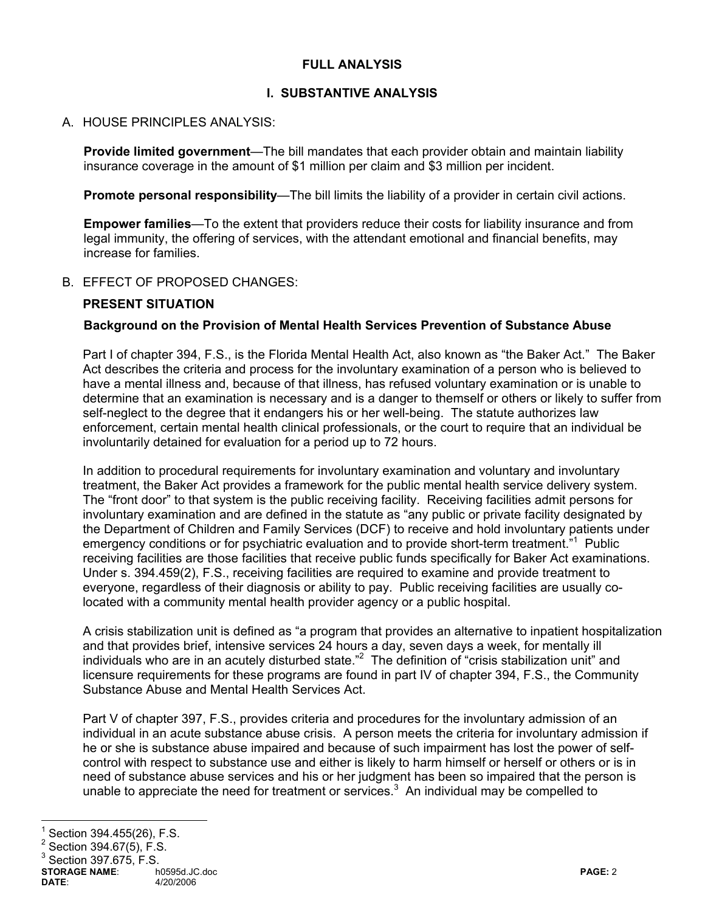## **FULL ANALYSIS**

## **I. SUBSTANTIVE ANALYSIS**

#### A. HOUSE PRINCIPLES ANALYSIS:

**Provide limited government**—The bill mandates that each provider obtain and maintain liability insurance coverage in the amount of \$1 million per claim and \$3 million per incident.

**Promote personal responsibility**—The bill limits the liability of a provider in certain civil actions.

**Empower families**—To the extent that providers reduce their costs for liability insurance and from legal immunity, the offering of services, with the attendant emotional and financial benefits, may increase for families.

#### B. EFFECT OF PROPOSED CHANGES:

# **PRESENT SITUATION**

#### **Background on the Provision of Mental Health Services Prevention of Substance Abuse**

Part I of chapter 394, F.S., is the Florida Mental Health Act, also known as "the Baker Act." The Baker Act describes the criteria and process for the involuntary examination of a person who is believed to have a mental illness and, because of that illness, has refused voluntary examination or is unable to determine that an examination is necessary and is a danger to themself or others or likely to suffer from self-neglect to the degree that it endangers his or her well-being. The statute authorizes law enforcement, certain mental health clinical professionals, or the court to require that an individual be involuntarily detained for evaluation for a period up to 72 hours.

In addition to procedural requirements for involuntary examination and voluntary and involuntary treatment, the Baker Act provides a framework for the public mental health service delivery system. The "front door" to that system is the public receiving facility. Receiving facilities admit persons for involuntary examination and are defined in the statute as "any public or private facility designated by the Department of Children and Family Services (DCF) to receive and hold involuntary patients under emergency conditions or for psychiatric evaluation and to provide short-term treatment."<sup>1</sup> Public receiving facilities are those facilities that receive public funds specifically for Baker Act examinations. Under s. 394.459(2), F.S., receiving facilities are required to examine and provide treatment to everyone, regardless of their diagnosis or ability to pay. Public receiving facilities are usually colocated with a community mental health provider agency or a public hospital.

A crisis stabilization unit is defined as "a program that provides an alternative to inpatient hospitalization and that provides brief, intensive services 24 hours a day, seven days a week, for mentally ill individuals who are in an acutely disturbed state."<sup>2</sup> The definition of "crisis stabilization unit" and licensure requirements for these programs are found in part IV of chapter 394, F.S., the Community Substance Abuse and Mental Health Services Act.

Part V of chapter 397, F.S., provides criteria and procedures for the involuntary admission of an individual in an acute substance abuse crisis. A person meets the criteria for involuntary admission if he or she is substance abuse impaired and because of such impairment has lost the power of selfcontrol with respect to substance use and either is likely to harm himself or herself or others or is in need of substance abuse services and his or her judgment has been so impaired that the person is unable to appreciate the need for treatment or services. $3$  An individual may be compelled to

 $\overline{a}$ 

<sup>1</sup> Section 394.455(26), F.S.

 $^2$  Section 394.67(5), F.S.

 $3$  Section 397.675, F.S.

**STORAGE NAME**: h0595d.JC.doc **PAGE:** 2 **DATE**: 4/20/2006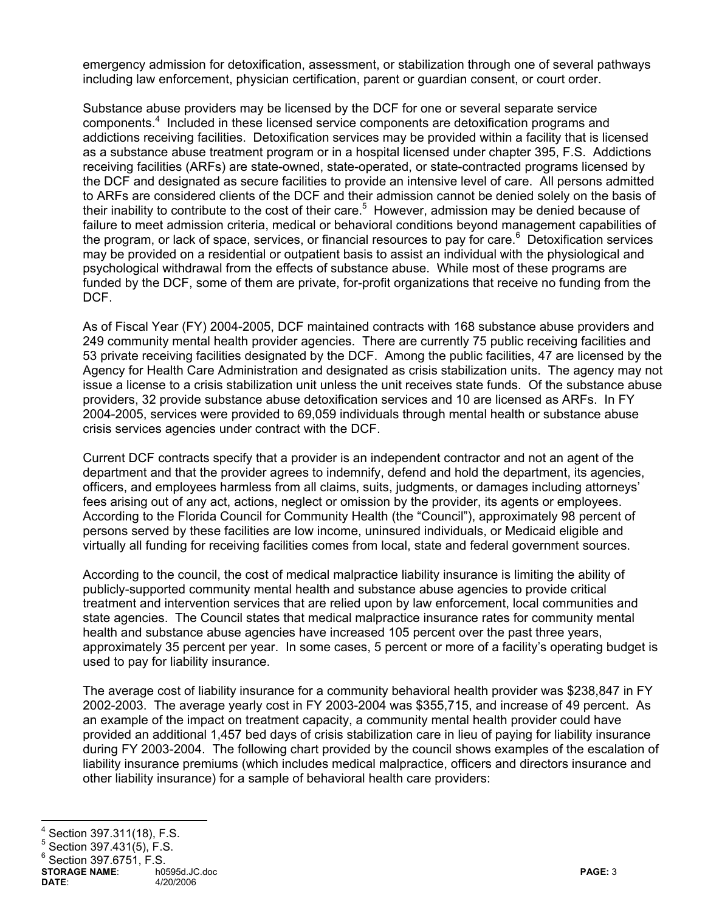emergency admission for detoxification, assessment, or stabilization through one of several pathways including law enforcement, physician certification, parent or guardian consent, or court order.

Substance abuse providers may be licensed by the DCF for one or several separate service components.<sup>4</sup> Included in these licensed service components are detoxification programs and addictions receiving facilities. Detoxification services may be provided within a facility that is licensed as a substance abuse treatment program or in a hospital licensed under chapter 395, F.S. Addictions receiving facilities (ARFs) are state-owned, state-operated, or state-contracted programs licensed by the DCF and designated as secure facilities to provide an intensive level of care. All persons admitted to ARFs are considered clients of the DCF and their admission cannot be denied solely on the basis of their inability to contribute to the cost of their care.<sup>5</sup> However, admission may be denied because of failure to meet admission criteria, medical or behavioral conditions beyond management capabilities of the program, or lack of space, services, or financial resources to pay for care.<sup>6</sup> Detoxification services may be provided on a residential or outpatient basis to assist an individual with the physiological and psychological withdrawal from the effects of substance abuse. While most of these programs are funded by the DCF, some of them are private, for-profit organizations that receive no funding from the DCF.

As of Fiscal Year (FY) 2004-2005, DCF maintained contracts with 168 substance abuse providers and 249 community mental health provider agencies. There are currently 75 public receiving facilities and 53 private receiving facilities designated by the DCF. Among the public facilities, 47 are licensed by the Agency for Health Care Administration and designated as crisis stabilization units. The agency may not issue a license to a crisis stabilization unit unless the unit receives state funds. Of the substance abuse providers, 32 provide substance abuse detoxification services and 10 are licensed as ARFs. In FY 2004-2005, services were provided to 69,059 individuals through mental health or substance abuse crisis services agencies under contract with the DCF.

Current DCF contracts specify that a provider is an independent contractor and not an agent of the department and that the provider agrees to indemnify, defend and hold the department, its agencies, officers, and employees harmless from all claims, suits, judgments, or damages including attorneys' fees arising out of any act, actions, neglect or omission by the provider, its agents or employees. According to the Florida Council for Community Health (the "Council"), approximately 98 percent of persons served by these facilities are low income, uninsured individuals, or Medicaid eligible and virtually all funding for receiving facilities comes from local, state and federal government sources.

According to the council, the cost of medical malpractice liability insurance is limiting the ability of publicly-supported community mental health and substance abuse agencies to provide critical treatment and intervention services that are relied upon by law enforcement, local communities and state agencies. The Council states that medical malpractice insurance rates for community mental health and substance abuse agencies have increased 105 percent over the past three years, approximately 35 percent per year. In some cases, 5 percent or more of a facility's operating budget is used to pay for liability insurance.

The average cost of liability insurance for a community behavioral health provider was \$238,847 in FY 2002-2003. The average yearly cost in FY 2003-2004 was \$355,715, and increase of 49 percent. As an example of the impact on treatment capacity, a community mental health provider could have provided an additional 1,457 bed days of crisis stabilization care in lieu of paying for liability insurance during FY 2003-2004. The following chart provided by the council shows examples of the escalation of liability insurance premiums (which includes medical malpractice, officers and directors insurance and other liability insurance) for a sample of behavioral health care providers:

 $\frac{1}{4}$ Section 397.311(18), F.S.

<sup>5</sup> Section 397.431(5), F.S.

 $6$  Section 397.6751, F.S.

**STORAGE NAME**: h0595d.JC.doc **PAGE:** 3 **DATE**: 4/20/2006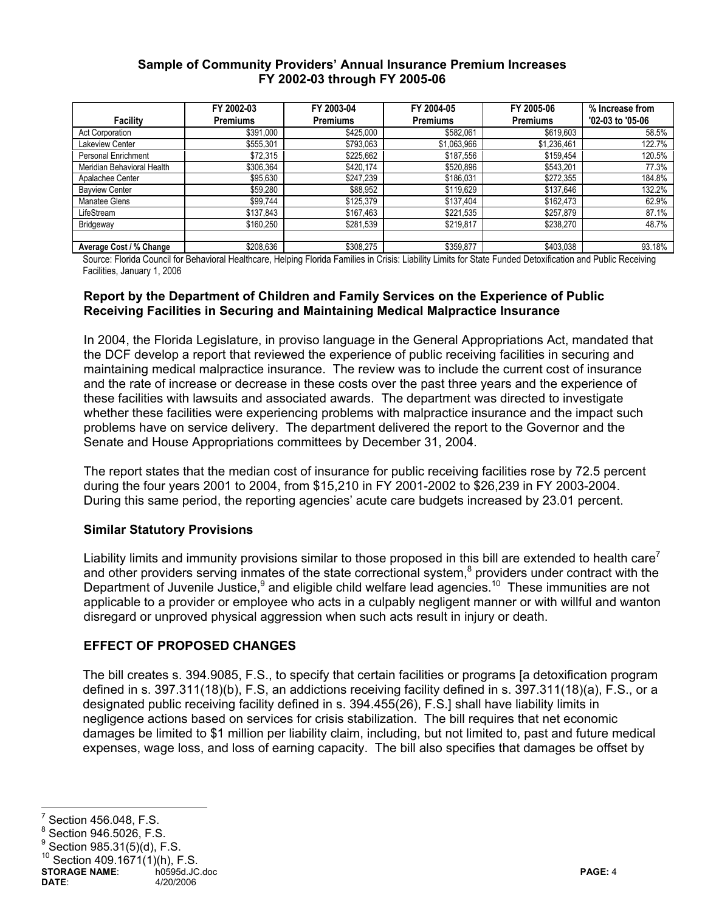### **Sample of Community Providers' Annual Insurance Premium Increases FY 2002-03 through FY 2005-06**

|                            | FY 2002-03      | FY 2003-04      | FY 2004-05      | FY 2005-06      | % Increase from  |
|----------------------------|-----------------|-----------------|-----------------|-----------------|------------------|
| Facility                   | <b>Premiums</b> | <b>Premiums</b> | <b>Premiums</b> | <b>Premiums</b> | '02-03 to '05-06 |
| Act Corporation            | \$391,000       | \$425,000       | \$582,061       | \$619,603       | 58.5%            |
| Lakeview Center            | \$555,301       | \$793,063       | \$1,063,966     | \$1,236,461     | 122.7%           |
| Personal Enrichment        | \$72,315        | \$225,662       | \$187,556       | \$159,454       | 120.5%           |
| Meridian Behavioral Health | \$306,364       | \$420,174       | \$520,896       | \$543,201       | 77.3%            |
| Apalachee Center           | \$95,630        | \$247,239       | \$186,031       | \$272,355       | 184.8%           |
| <b>Bayview Center</b>      | \$59,280        | \$88,952        | \$119,629       | \$137,646       | 132.2%           |
| Manatee Glens              | \$99,744        | \$125,379       | \$137,404       | \$162,473       | 62.9%            |
| LifeStream                 | \$137,843       | \$167,463       | \$221,535       | \$257,879       | 87.1%            |
| Bridgeway                  | \$160,250       | \$281,539       | \$219,817       | \$238,270       | 48.7%            |
|                            |                 |                 |                 |                 |                  |
| Average Cost / % Change    | \$208,636       | \$308,275       | \$359,877       | \$403,038       | 93.18%           |

Source: Florida Council for Behavioral Healthcare, Helping Florida Families in Crisis: Liability Limits for State Funded Detoxification and Public Receiving Facilities, January 1, 2006

## **Report by the Department of Children and Family Services on the Experience of Public Receiving Facilities in Securing and Maintaining Medical Malpractice Insurance**

In 2004, the Florida Legislature, in proviso language in the General Appropriations Act, mandated that the DCF develop a report that reviewed the experience of public receiving facilities in securing and maintaining medical malpractice insurance. The review was to include the current cost of insurance and the rate of increase or decrease in these costs over the past three years and the experience of these facilities with lawsuits and associated awards. The department was directed to investigate whether these facilities were experiencing problems with malpractice insurance and the impact such problems have on service delivery. The department delivered the report to the Governor and the Senate and House Appropriations committees by December 31, 2004.

The report states that the median cost of insurance for public receiving facilities rose by 72.5 percent during the four years 2001 to 2004, from \$15,210 in FY 2001-2002 to \$26,239 in FY 2003-2004. During this same period, the reporting agencies' acute care budgets increased by 23.01 percent.

# **Similar Statutory Provisions**

Liability limits and immunity provisions similar to those proposed in this bill are extended to health care<sup>7</sup> and other providers serving inmates of the state correctional system, $8$  providers under contract with the Department of Juvenile Justice,<sup>9</sup> and eligible child welfare lead agencies.<sup>10</sup> These immunities are not applicable to a provider or employee who acts in a culpably negligent manner or with willful and wanton disregard or unproved physical aggression when such acts result in injury or death.

# **EFFECT OF PROPOSED CHANGES**

The bill creates s. 394.9085, F.S., to specify that certain facilities or programs [a detoxification program defined in s. 397.311(18)(b), F.S, an addictions receiving facility defined in s. 397.311(18)(a), F.S., or a designated public receiving facility defined in s. 394.455(26), F.S.] shall have liability limits in negligence actions based on services for crisis stabilization. The bill requires that net economic damages be limited to \$1 million per liability claim, including, but not limited to, past and future medical expenses, wage loss, and loss of earning capacity. The bill also specifies that damages be offset by

**STORAGE NAME:** http://educ.doc/ho.php?induct/induction/induction/induction/induction/induction/induction/induction/induction/induction/induction/induction/induction/induction/induction/induction/induction/induction/induct **DATE**: 4/20/2006

<sup>-&</sup>lt;br>7 Section 456.048, F.S.

<sup>8</sup> Section 946.5026, F.S.

<sup>9</sup> Section 985.31(5)(d), F.S.

Section  $409.1671(1)(h)$ , F.S.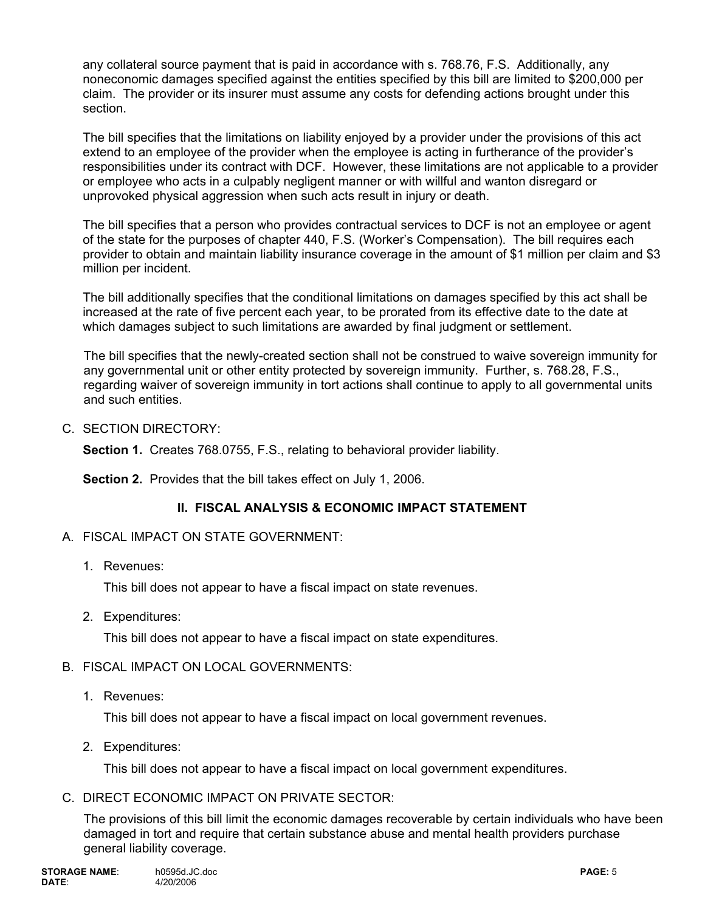any collateral source payment that is paid in accordance with s. 768.76, F.S. Additionally, any noneconomic damages specified against the entities specified by this bill are limited to \$200,000 per claim. The provider or its insurer must assume any costs for defending actions brought under this section.

The bill specifies that the limitations on liability enjoyed by a provider under the provisions of this act extend to an employee of the provider when the employee is acting in furtherance of the provider's responsibilities under its contract with DCF. However, these limitations are not applicable to a provider or employee who acts in a culpably negligent manner or with willful and wanton disregard or unprovoked physical aggression when such acts result in injury or death.

The bill specifies that a person who provides contractual services to DCF is not an employee or agent of the state for the purposes of chapter 440, F.S. (Worker's Compensation). The bill requires each provider to obtain and maintain liability insurance coverage in the amount of \$1 million per claim and \$3 million per incident.

The bill additionally specifies that the conditional limitations on damages specified by this act shall be increased at the rate of five percent each year, to be prorated from its effective date to the date at which damages subject to such limitations are awarded by final judgment or settlement.

The bill specifies that the newly-created section shall not be construed to waive sovereign immunity for any governmental unit or other entity protected by sovereign immunity. Further, s. 768.28, F.S., regarding waiver of sovereign immunity in tort actions shall continue to apply to all governmental units and such entities.

C. SECTION DIRECTORY:

**Section 1.** Creates 768.0755, F.S., relating to behavioral provider liability.

**Section 2.** Provides that the bill takes effect on July 1, 2006.

# **II. FISCAL ANALYSIS & ECONOMIC IMPACT STATEMENT**

- A. FISCAL IMPACT ON STATE GOVERNMENT:
	- 1. Revenues:

This bill does not appear to have a fiscal impact on state revenues.

2. Expenditures:

This bill does not appear to have a fiscal impact on state expenditures.

# B. FISCAL IMPACT ON LOCAL GOVERNMENTS:

1. Revenues:

This bill does not appear to have a fiscal impact on local government revenues.

2. Expenditures:

This bill does not appear to have a fiscal impact on local government expenditures.

C. DIRECT ECONOMIC IMPACT ON PRIVATE SECTOR:

The provisions of this bill limit the economic damages recoverable by certain individuals who have been damaged in tort and require that certain substance abuse and mental health providers purchase general liability coverage.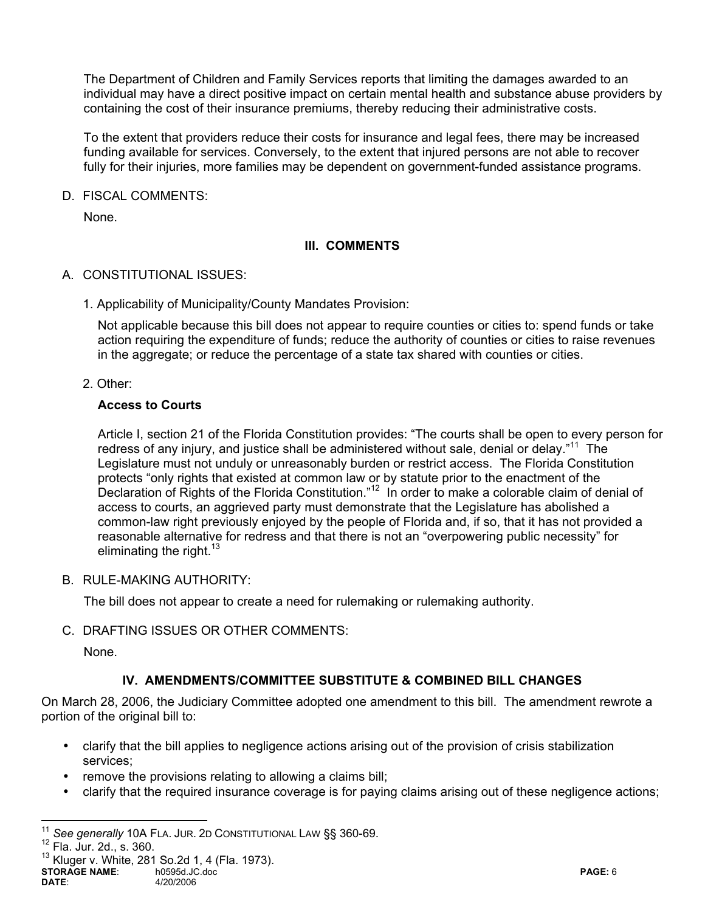The Department of Children and Family Services reports that limiting the damages awarded to an individual may have a direct positive impact on certain mental health and substance abuse providers by containing the cost of their insurance premiums, thereby reducing their administrative costs.

To the extent that providers reduce their costs for insurance and legal fees, there may be increased funding available for services. Conversely, to the extent that injured persons are not able to recover fully for their injuries, more families may be dependent on government-funded assistance programs.

D. FISCAL COMMENTS:

None.

# **III. COMMENTS**

- A. CONSTITUTIONAL ISSUES:
	- 1. Applicability of Municipality/County Mandates Provision:

Not applicable because this bill does not appear to require counties or cities to: spend funds or take action requiring the expenditure of funds; reduce the authority of counties or cities to raise revenues in the aggregate; or reduce the percentage of a state tax shared with counties or cities.

2. Other:

#### **Access to Courts**

Article I, section 21 of the Florida Constitution provides: "The courts shall be open to every person for redress of any injury, and justice shall be administered without sale, denial or delay."<sup>11</sup> The Legislature must not unduly or unreasonably burden or restrict access. The Florida Constitution protects "only rights that existed at common law or by statute prior to the enactment of the Declaration of Rights of the Florida Constitution."<sup>12</sup> In order to make a colorable claim of denial of access to courts, an aggrieved party must demonstrate that the Legislature has abolished a common-law right previously enjoyed by the people of Florida and, if so, that it has not provided a reasonable alternative for redress and that there is not an "overpowering public necessity" for eliminating the right. $13$ 

B. RULE-MAKING AUTHORITY:

The bill does not appear to create a need for rulemaking or rulemaking authority.

C. DRAFTING ISSUES OR OTHER COMMENTS:

None.

# **IV. AMENDMENTS/COMMITTEE SUBSTITUTE & COMBINED BILL CHANGES**

On March 28, 2006, the Judiciary Committee adopted one amendment to this bill. The amendment rewrote a portion of the original bill to:

- clarify that the bill applies to negligence actions arising out of the provision of crisis stabilization services;
- remove the provisions relating to allowing a claims bill;
- clarify that the required insurance coverage is for paying claims arising out of these negligence actions;

 $\overline{a}$ 

<sup>&</sup>lt;sup>11</sup> See generally 10A FLA. JUR. 2D CONSTITUTIONAL LAW §§ 360-69.<br><sup>12</sup> Fla. Jur. 2d., s. 360.

**STORAGE NAME**: h0595d.JC.doc **PAGE:** 6 **DATE**: 4/20/2006  $13$  Kluger v. White, 281 So. 2d 1, 4 (Fla. 1973).